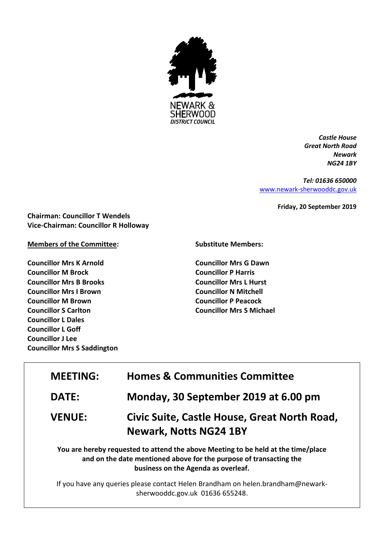

*Castle House Great North Road Newark NG24 1BY*

*Tel: 01636 650000* [www.newark-sherwooddc.gov.uk](http://www.newark-sherwooddc.gov.uk/)

**Friday, 20 September 2019**

**Chairman: Councillor T Wendels Vice-Chairman: Councillor R Holloway**

## **Members of the Committee:**

**Councillor Mrs K Arnold Councillor M Brock Councillor Mrs B Brooks Councillor Mrs I Brown Councillor M Brown Councillor S Carlton Councillor L Dales Councillor L Goff Councillor J Lee Councillor Mrs S Saddington**

## **Substitute Members:**

**Councillor Mrs G Dawn Councillor P Harris Councillor Mrs L Hurst Councillor N Mitchell Councillor P Peacock Councillor Mrs S Michael**

| <b>MEETING:</b> | <b>Homes &amp; Communities Committee</b>                                                                                                                                                       |
|-----------------|------------------------------------------------------------------------------------------------------------------------------------------------------------------------------------------------|
| <b>DATE:</b>    | Monday, 30 September 2019 at 6.00 pm                                                                                                                                                           |
| <b>VENUE:</b>   | Civic Suite, Castle House, Great North Road,<br><b>Newark, Notts NG24 1BY</b>                                                                                                                  |
|                 | You are hereby requested to attend the above Meeting to be held at the time/place<br>and on the date mentioned above for the purpose of transacting the<br>business on the Agenda as overleaf. |

If you have any queries please contact Helen Brandham on helen.brandham@newarksherwooddc.gov.uk 01636 655248.